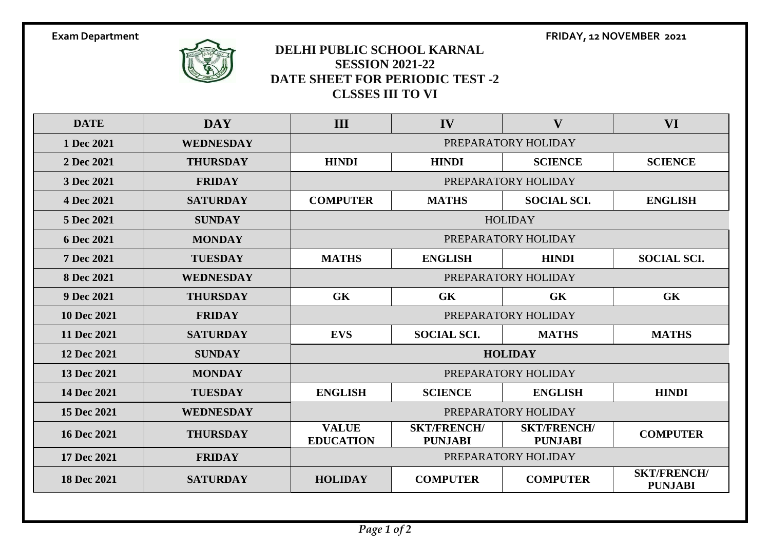

## **DELHI PUBLIC SCHOOL KARNAL SESSION 2021-22 DATE SHEET FOR PERIODIC TEST -2 CLSSES III TO VI**

**DATE DAY III IV V VI Dec 2021 WEDNESDAY** PREPARATORY HOLIDAY **Dec 2021 THURSDAY HINDI HINDI SCIENCE SCIENCE Dec 2021 FRIDAY** PREPARATORY HOLIDAY **Dec 2021 SATURDAY COMPUTER MATHS SOCIAL SCI. ENGLISH Dec 2021 SUNDAY** HOLIDAY **Dec 2021 MONDAY PREPARATORY HOLIDAY Dec 2021 TUESDAY MATHS ENGLISH HINDI SOCIAL SCI. Dec 2021 WEDNESDAY** PREPARATORY HOLIDAY **Dec 2021 THURSDAY GK GK GK GK Dec 2021 FRIDAY** PREPARATORY HOLIDAY **Dec 2021 SATURDAY EVS SOCIAL SCI. MATHS MATHS Dec 2021 SUNDAY HOLIDAY 13 Dec 2021 MONDAY PREPARATORY HOLIDAY Dec 2021 TUESDAY ENGLISH SCIENCE ENGLISH HINDI Dec 2021 WEDNESDAY** PREPARATORY HOLIDAY **Dec 2021 THURSDAY VALUE EDUCATION SKT/FRENCH/ PUNJABI SKT/FRENCH/ PUNJABI COMPUTER Dec 2021 FRIDAY** PREPARATORY HOLIDAY **Dec 2021 SATURDAY HOLIDAY COMPUTER COMPUTER SKT/FRENCH/**

**Exam Department FRIDAY, 12 NOVEMBER 2021**

**PUNJABI**